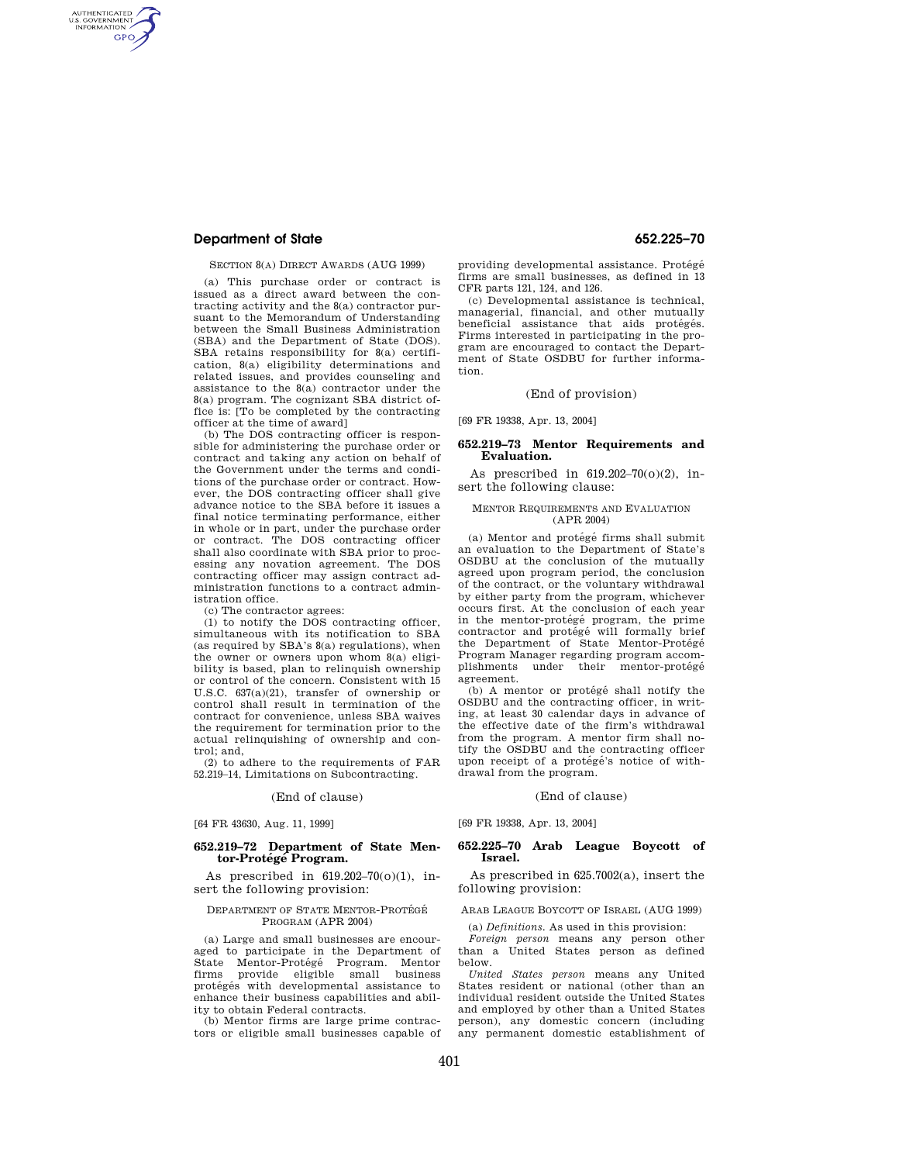## **Department of State 652.225–70**

AUTHENTICATED<br>U.S. GOVERNMENT<br>INFORMATION **GPO** 

#### SECTION 8(A) DIRECT AWARDS (AUG 1999)

(a) This purchase order or contract is issued as a direct award between the contracting activity and the 8(a) contractor pursuant to the Memorandum of Understanding between the Small Business Administration (SBA) and the Department of State (DOS). SBA retains responsibility for 8(a) certification, 8(a) eligibility determinations and related issues, and provides counseling and assistance to the 8(a) contractor under the 8(a) program. The cognizant SBA district office is: [To be completed by the contracting officer at the time of award]

(b) The DOS contracting officer is responsible for administering the purchase order or contract and taking any action on behalf of the Government under the terms and conditions of the purchase order or contract. However, the DOS contracting officer shall give advance notice to the SBA before it issues a final notice terminating performance, either in whole or in part, under the purchase order or contract. The DOS contracting officer shall also coordinate with SBA prior to processing any novation agreement. The DOS contracting officer may assign contract administration functions to a contract administration office.

(c) The contractor agrees:

(1) to notify the DOS contracting officer, simultaneous with its notification to SBA (as required by SBA's 8(a) regulations), when the owner or owners upon whom 8(a) eligibility is based, plan to relinquish ownership or control of the concern. Consistent with 15 U.S.C. 637(a)(21), transfer of ownership or control shall result in termination of the contract for convenience, unless SBA waives the requirement for termination prior to the actual relinquishing of ownership and control; and,

(2) to adhere to the requirements of FAR 52.219–14, Limitations on Subcontracting.

#### (End of clause)

[64 FR 43630, Aug. 11, 1999]

#### **652.219–72 Department of State Mentor-Prote´ge´ Program.**

As prescribed in 619.202–70(o)(1), insert the following provision:

#### DEPARTMENT OF STATE MENTOR-PROTÉGÉ PROGRAM (APR 2004)

(a) Large and small businesses are encouraged to participate in the Department of State Mentor-Protégé Program. Mentor State Mentor-Protégé Program. firms provide eligible small business protégés with developmental assistance to enhance their business capabilities and ability to obtain Federal contracts.

(b) Mentor firms are large prime contractors or eligible small businesses capable of

providing developmental assistance. Protégé firms are small businesses, as defined in 13 CFR parts 121, 124, and 126.

(c) Developmental assistance is technical, managerial, financial, and other mutually<br>beneficial assistance that aids protégés. Firms interested in participating in the program are encouraged to contact the Department of State OSDBU for further information.

### (End of provision)

[69 FR 19338, Apr. 13, 2004]

#### **652.219–73 Mentor Requirements and Evaluation.**

As prescribed in 619.202–70(o)(2), insert the following clause:

#### MENTOR REQUIREMENTS AND EVALUATION (APR 2004)

(a) Mentor and protégé firms shall submit an evaluation to the Department of State's OSDBU at the conclusion of the mutually agreed upon program period, the conclusion of the contract, or the voluntary withdrawal by either party from the program, whichever occurs first. At the conclusion of each year in the mentor-protégé program, the prime contractor and protege will formally brief the Department of State Mentor-Protégé Program Manager regarding program accomunder their mentor-protégé agreement.

(b) A mentor or protégé shall notify the OSDBU and the contracting officer, in writing, at least 30 calendar days in advance of the effective date of the firm's withdrawal from the program. A mentor firm shall notify the OSDBU and the contracting officer upon receipt of a protégé's notice of withdrawal from the program.

#### (End of clause)

[69 FR 19338, Apr. 13, 2004]

#### **652.225–70 Arab League Boycott of Israel.**

As prescribed in 625.7002(a), insert the following provision:

#### ARAB LEAGUE BOYCOTT OF ISRAEL (AUG 1999)

(a) *Definitions.* As used in this provision:

*Foreign person* means any person other than a United States person as defined below.

*United States person* means any United States resident or national (other than an individual resident outside the United States and employed by other than a United States person), any domestic concern (including any permanent domestic establishment of